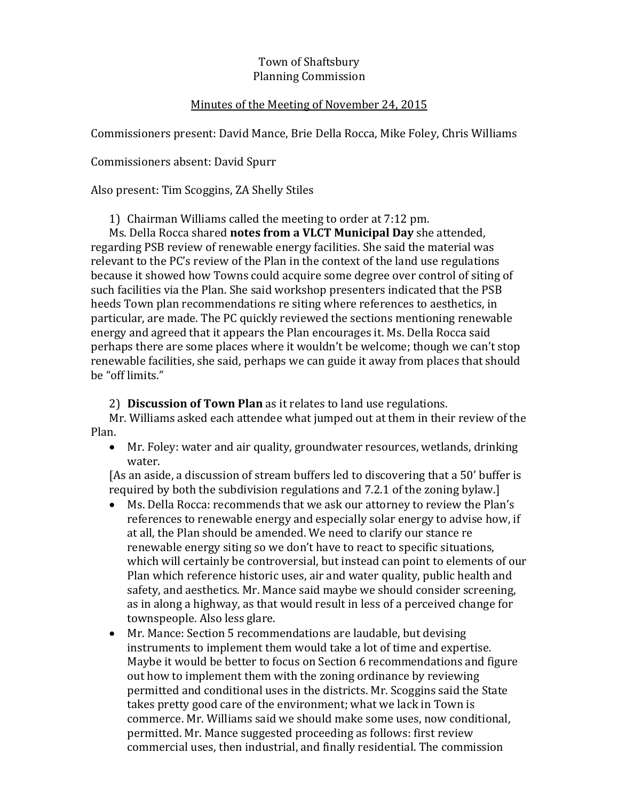## Town of Shaftsbury Planning Commission

## Minutes of the Meeting of November 24, 2015

Commissioners present: David Mance, Brie Della Rocca, Mike Foley, Chris Williams

Commissioners absent: David Spurr

Also present: Tim Scoggins, ZA Shelly Stiles

1) Chairman Williams called the meeting to order at 7:12 pm.

Ms. Della Rocca shared **notes from a VLCT Municipal Day** she attended, regarding PSB review of renewable energy facilities. She said the material was relevant to the PC's review of the Plan in the context of the land use regulations because it showed how Towns could acquire some degree over control of siting of such facilities via the Plan. She said workshop presenters indicated that the PSB heeds Town plan recommendations re siting where references to aesthetics, in particular, are made. The PC quickly reviewed the sections mentioning renewable energy and agreed that it appears the Plan encourages it. Ms. Della Rocca said perhaps there are some places where it wouldn't be welcome; though we can't stop renewable facilities, she said, perhaps we can guide it away from places that should be "off limits."

2) **Discussion of Town Plan** as it relates to land use regulations.

Mr. Williams asked each attendee what jumped out at them in their review of the Plan.

 Mr. Foley: water and air quality, groundwater resources, wetlands, drinking water.

[As an aside, a discussion of stream buffers led to discovering that a 50' buffer is required by both the subdivision regulations and 7.2.1 of the zoning bylaw.]

- Ms. Della Rocca: recommends that we ask our attorney to review the Plan's references to renewable energy and especially solar energy to advise how, if at all, the Plan should be amended. We need to clarify our stance re renewable energy siting so we don't have to react to specific situations, which will certainly be controversial, but instead can point to elements of our Plan which reference historic uses, air and water quality, public health and safety, and aesthetics. Mr. Mance said maybe we should consider screening, as in along a highway, as that would result in less of a perceived change for townspeople. Also less glare.
- Mr. Mance: Section 5 recommendations are laudable, but devising instruments to implement them would take a lot of time and expertise. Maybe it would be better to focus on Section 6 recommendations and figure out how to implement them with the zoning ordinance by reviewing permitted and conditional uses in the districts. Mr. Scoggins said the State takes pretty good care of the environment; what we lack in Town is commerce. Mr. Williams said we should make some uses, now conditional, permitted. Mr. Mance suggested proceeding as follows: first review commercial uses, then industrial, and finally residential. The commission